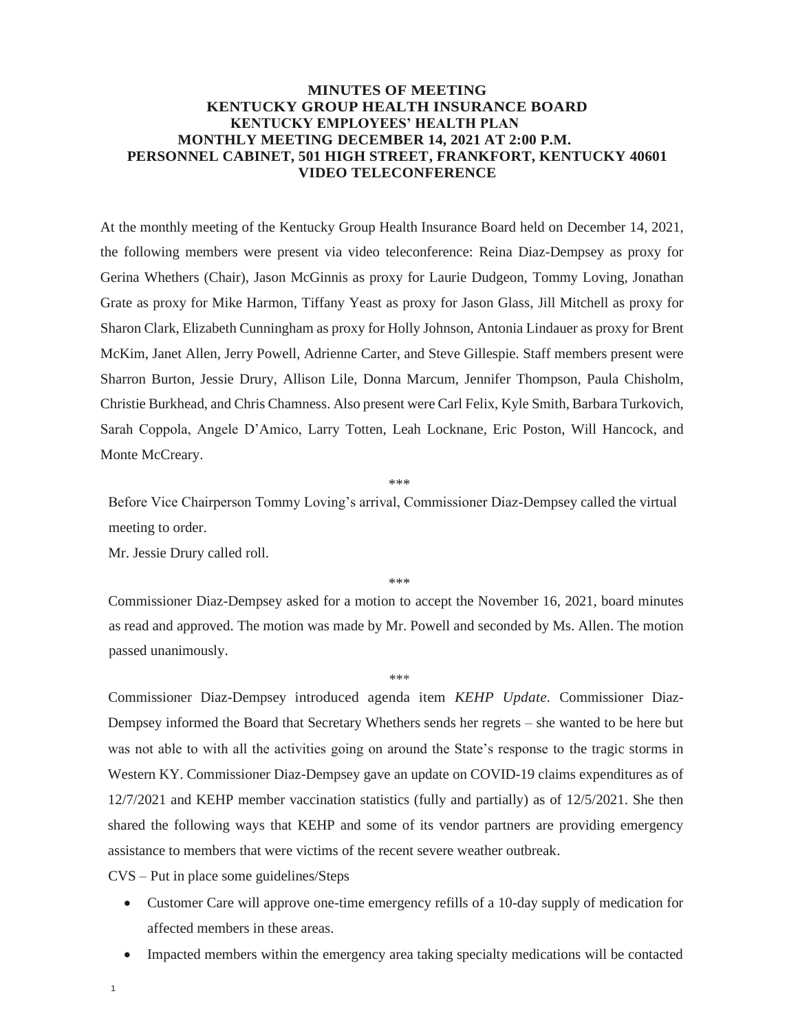## **MINUTES OF MEETING KENTUCKY GROUP HEALTH INSURANCE BOARD KENTUCKY EMPLOYEES' HEALTH PLAN MONTHLY MEETING DECEMBER 14, 2021 AT 2:00 P.M. PERSONNEL CABINET, 501 HIGH STREET, FRANKFORT, KENTUCKY 40601 VIDEO TELECONFERENCE**

At the monthly meeting of the Kentucky Group Health Insurance Board held on December 14, 2021, the following members were present via video teleconference: Reina Diaz-Dempsey as proxy for Gerina Whethers (Chair), Jason McGinnis as proxy for Laurie Dudgeon, Tommy Loving, Jonathan Grate as proxy for Mike Harmon, Tiffany Yeast as proxy for Jason Glass, Jill Mitchell as proxy for Sharon Clark, Elizabeth Cunningham as proxy for Holly Johnson, Antonia Lindauer as proxy for Brent McKim, Janet Allen, Jerry Powell, Adrienne Carter, and Steve Gillespie. Staff members present were Sharron Burton, Jessie Drury, Allison Lile, Donna Marcum, Jennifer Thompson, Paula Chisholm, Christie Burkhead, and Chris Chamness. Also present were Carl Felix, Kyle Smith, Barbara Turkovich, Sarah Coppola, Angele D'Amico, Larry Totten, Leah Locknane, Eric Poston, Will Hancock, and Monte McCreary.

\*\*\*

Before Vice Chairperson Tommy Loving's arrival, Commissioner Diaz-Dempsey called the virtual meeting to order.

Mr. Jessie Drury called roll.

\*\*\*

Commissioner Diaz-Dempsey asked for a motion to accept the November 16, 2021, board minutes as read and approved. The motion was made by Mr. Powell and seconded by Ms. Allen. The motion passed unanimously.

\*\*\*

Commissioner Diaz-Dempsey introduced agenda item *KEHP Update.* Commissioner Diaz-Dempsey informed the Board that Secretary Whethers sends her regrets – she wanted to be here but was not able to with all the activities going on around the State's response to the tragic storms in Western KY. Commissioner Diaz-Dempsey gave an update on COVID-19 claims expenditures as of 12/7/2021 and KEHP member vaccination statistics (fully and partially) as of 12/5/2021. She then shared the following ways that KEHP and some of its vendor partners are providing emergency assistance to members that were victims of the recent severe weather outbreak.

CVS – Put in place some guidelines/Steps

- Customer Care will approve one-time emergency refills of a 10-day supply of medication for affected members in these areas.
- Impacted members within the emergency area taking specialty medications will be contacted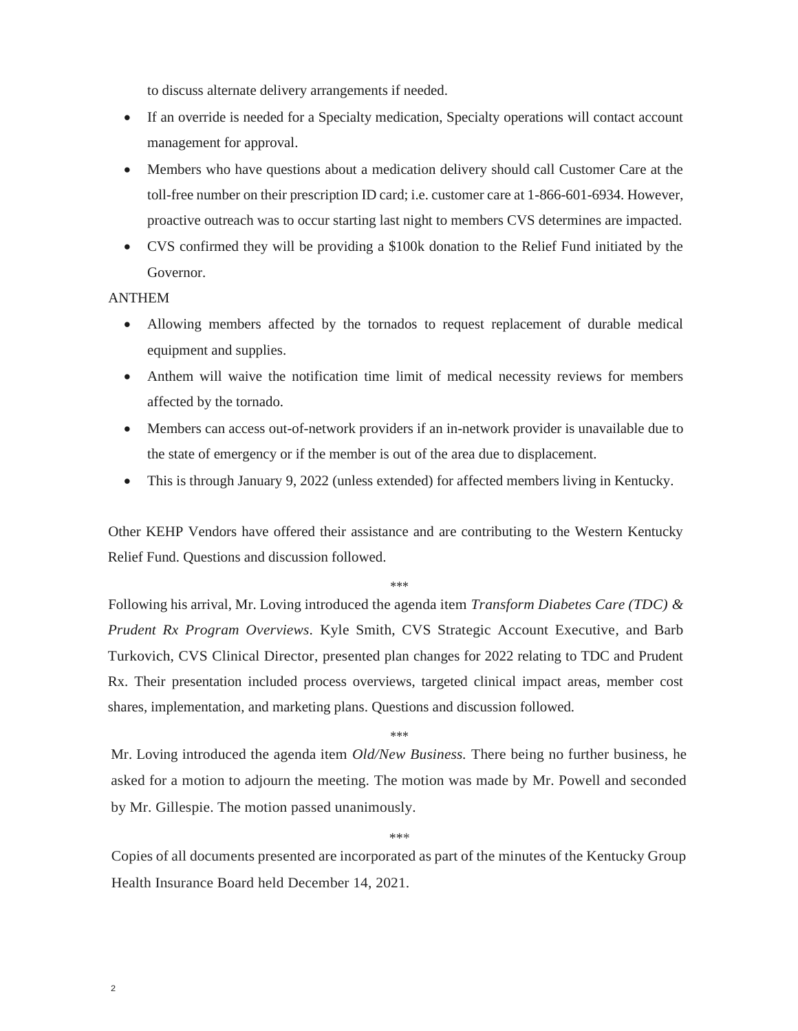to discuss alternate delivery arrangements if needed.

- If an override is needed for a Specialty medication, Specialty operations will contact account management for approval.
- Members who have questions about a medication delivery should call Customer Care at the toll-free number on their prescription ID card; i.e. customer care at 1-866-601-6934. However, proactive outreach was to occur starting last night to members CVS determines are impacted.
- CVS confirmed they will be providing a \$100k donation to the Relief Fund initiated by the Governor.

## ANTHEM

- Allowing members affected by the tornados to request replacement of durable medical equipment and supplies.
- Anthem will waive the notification time limit of medical necessity reviews for members affected by the tornado.
- Members can access out-of-network providers if an in-network provider is unavailable due to the state of emergency or if the member is out of the area due to displacement.
- This is through January 9, 2022 (unless extended) for affected members living in Kentucky.

Other KEHP Vendors have offered their assistance and are contributing to the Western Kentucky Relief Fund. Questions and discussion followed.

## \*\*\*

Following his arrival, Mr. Loving introduced the agenda item *Transform Diabetes Care (TDC) & Prudent Rx Program Overviews.* Kyle Smith, CVS Strategic Account Executive, and Barb Turkovich, CVS Clinical Director, presented plan changes for 2022 relating to TDC and Prudent Rx. Their presentation included process overviews, targeted clinical impact areas, member cost shares, implementation, and marketing plans. Questions and discussion followed.

\*\*\*

Mr. Loving introduced the agenda item *Old/New Business.* There being no further business, he asked for a motion to adjourn the meeting. The motion was made by Mr. Powell and seconded by Mr. Gillespie. The motion passed unanimously.

\*\*\*

Copies of all documents presented are incorporated as part of the minutes of the Kentucky Group Health Insurance Board held December 14, 2021.